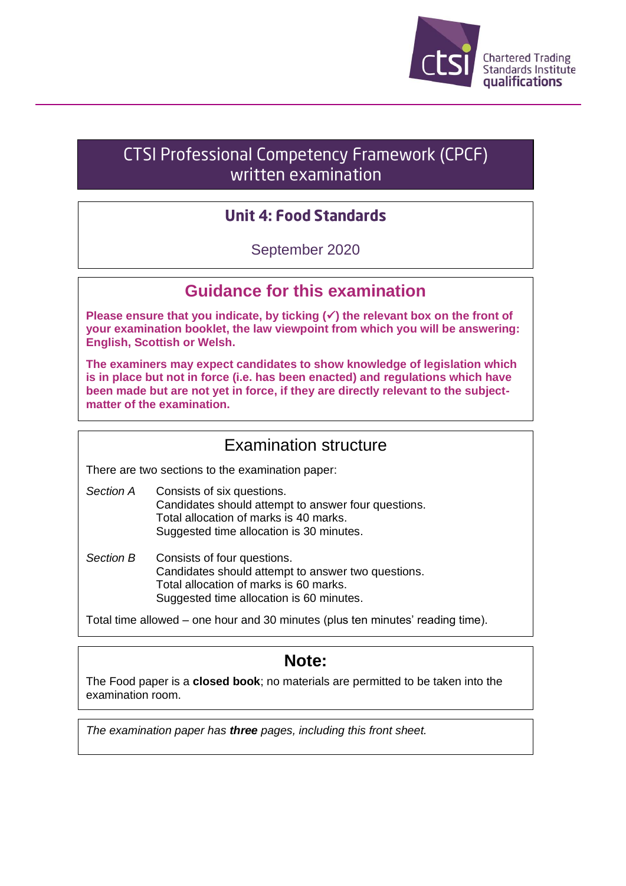

## **CTSI Professional Competency Framework (CPCF)** written examination

#### **Unit 4: Food Standards**

September 2020

#### **Guidance for this examination**

**Please ensure that you indicate, by ticking (**✓**) the relevant box on the front of your examination booklet, the law viewpoint from which you will be answering: English, Scottish or Welsh.**

**The examiners may expect candidates to show knowledge of legislation which is in place but not in force (i.e. has been enacted) and regulations which have been made but are not yet in force, if they are directly relevant to the subjectmatter of the examination.**

#### Examination structure

There are two sections to the examination paper:

- *Section A* Consists of six questions. Candidates should attempt to answer four questions. Total allocation of marks is 40 marks. Suggested time allocation is 30 minutes.
- Section B Consists of four questions. Candidates should attempt to answer two questions. Total allocation of marks is 60 marks. Suggested time allocation is 60 minutes.

Total time allowed – one hour and 30 minutes (plus ten minutes' reading time).

### **Note:**

The Food paper is a **closed book**; no materials are permitted to be taken into the examination room.

*The examination paper has three pages, including this front sheet.*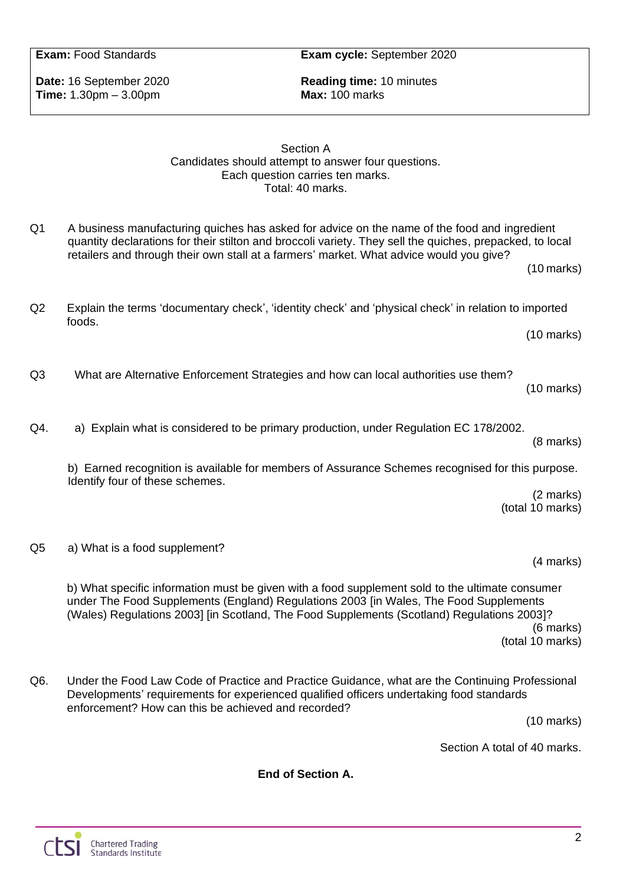**Time:** 1.30pm – 3.00pm **Max:** 100 marks

**Date:** 16 September 2020 **Reading time:** 10 minutes

#### Section A Candidates should attempt to answer four questions. Each question carries ten marks. Total: 40 marks.

quantity declarations for their stilton and broccoli variety. They sell the quiches, prepacked, to local

Q1 A business manufacturing quiches has asked for advice on the name of the food and ingredient

retailers and through their own stall at a farmers' market. What advice would you give?

| Q2 | Explain the terms 'documentary check', 'identity check' and 'physical check' in relation to imported<br>foods. |                      |
|----|----------------------------------------------------------------------------------------------------------------|----------------------|
|    |                                                                                                                | $(10 \text{ marks})$ |
| Q3 | What are Alternative Enforcement Strategies and how can local authorities use them?                            | $(10 \text{ marks})$ |

Q4. a) Explain what is considered to be primary production, under Regulation EC 178/2002.

b) Earned recognition is available for members of Assurance Schemes recognised for this purpose. Identify four of these schemes.

> (2 marks) (total 10 marks)

(8 marks)

(4 marks)

(10 marks)

Q5 a) What is a food supplement?

b) What specific information must be given with a food supplement sold to the ultimate consumer under The Food Supplements (England) Regulations 2003 [in Wales, The Food Supplements (Wales) Regulations 2003] [in Scotland, The Food Supplements (Scotland) Regulations 2003]? (6 marks)

(total 10 marks)

Q6. Under the Food Law Code of Practice and Practice Guidance, what are the Continuing Professional Developments' requirements for experienced qualified officers undertaking food standards enforcement? How can this be achieved and recorded?

(10 marks)

Section A total of 40 marks.

**End of Section A.**